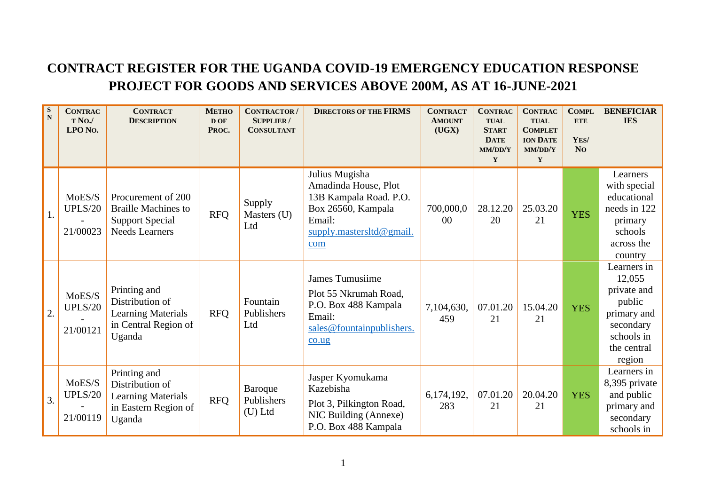## **CONTRACT REGISTER FOR THE UGANDA COVID-19 EMERGENCY EDUCATION RESPONSE PROJECT FOR GOODS AND SERVICES ABOVE 200M, AS AT 16-JUNE-2021**

| S<br>$\mathbf N$ | <b>CONTRAC</b><br>T No./<br>LPO No.  | <b>CONTRACT</b><br><b>DESCRIPTION</b>                                                               | <b>METHO</b><br>D OF<br>PROC. | <b>CONTRACTOR</b> /<br><b>SUPPLIER/</b><br><b>CONSULTANT</b> | <b>DIRECTORS OF THE FIRMS</b>                                                                                                       | <b>CONTRACT</b><br><b>AMOUNT</b><br>(UGX) | <b>CONTRAC</b><br><b>TUAL</b><br><b>START</b><br><b>DATE</b><br>MM/DD/Y<br>$\mathbf Y$ | <b>CONTRAC</b><br><b>TUAL</b><br><b>COMPLET</b><br><b>ION DATE</b><br>MM/DD/Y<br>Y | <b>COMPL</b><br><b>ETE</b><br>YES/<br><b>No</b> | <b>BENEFICIAR</b><br><b>IES</b>                                                                                   |
|------------------|--------------------------------------|-----------------------------------------------------------------------------------------------------|-------------------------------|--------------------------------------------------------------|-------------------------------------------------------------------------------------------------------------------------------------|-------------------------------------------|----------------------------------------------------------------------------------------|------------------------------------------------------------------------------------|-------------------------------------------------|-------------------------------------------------------------------------------------------------------------------|
| 1.               | MoES/S<br><b>UPLS/20</b><br>21/00023 | Procurement of 200<br><b>Braille Machines to</b><br><b>Support Special</b><br><b>Needs Learners</b> | <b>RFQ</b>                    | Supply<br>Masters (U)<br>Ltd                                 | Julius Mugisha<br>Amadinda House, Plot<br>13B Kampala Road. P.O.<br>Box 26560, Kampala<br>Email:<br>supply.mastersltd@gmail.<br>com | 700,000,0<br>$00\,$                       | 28.12.20<br>20                                                                         | 25.03.20<br>21                                                                     | <b>YES</b>                                      | Learners<br>with special<br>educational<br>needs in 122<br>primary<br>schools<br>across the<br>country            |
| $\overline{2}$ . | MoES/S<br><b>UPLS/20</b><br>21/00121 | Printing and<br>Distribution of<br><b>Learning Materials</b><br>in Central Region of<br>Uganda      | <b>RFQ</b>                    | Fountain<br>Publishers<br>Ltd                                | <b>James Tumusiime</b><br>Plot 55 Nkrumah Road,<br>P.O. Box 488 Kampala<br>Email:<br>sales@fountainpublishers.<br>$\cos$            | 7,104,630,<br>459                         | 07.01.20<br>21                                                                         | 15.04.20<br>21                                                                     | <b>YES</b>                                      | Learners in<br>12,055<br>private and<br>public<br>primary and<br>secondary<br>schools in<br>the central<br>region |
| 3.               | MoES/S<br><b>UPLS/20</b><br>21/00119 | Printing and<br>Distribution of<br><b>Learning Materials</b><br>in Eastern Region of<br>Uganda      | <b>RFQ</b>                    | Baroque<br>Publishers<br>$(U)$ Ltd                           | Jasper Kyomukama<br>Kazebisha<br>Plot 3, Pilkington Road,<br>NIC Building (Annexe)<br>P.O. Box 488 Kampala                          | 6,174,192,<br>283                         | 07.01.20<br>21                                                                         | 20.04.20<br>21                                                                     | <b>YES</b>                                      | Learners in<br>8,395 private<br>and public<br>primary and<br>secondary<br>schools in                              |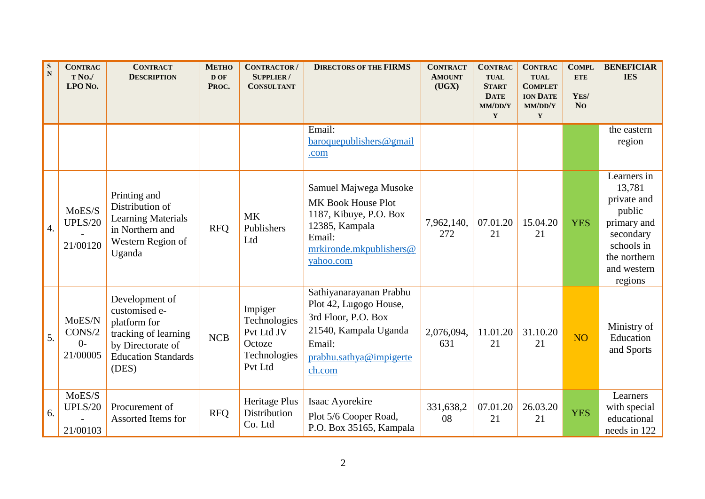| S<br>$\mathbf N$ | <b>CONTRAC</b><br>T No./<br>LPO No.  | <b>CONTRACT</b><br><b>DESCRIPTION</b>                                                                                               | <b>METHO</b><br>D OF<br>PROC. | <b>CONTRACTOR</b> /<br><b>SUPPLIER/</b><br><b>CONSULTANT</b>               | <b>DIRECTORS OF THE FIRMS</b>                                                                                                                    | <b>CONTRACT</b><br><b>AMOUNT</b><br>(UGX) | <b>CONTRAC</b><br><b>TUAL</b><br><b>START</b><br><b>DATE</b><br>MM/DD/Y<br>$\mathbf Y$ | <b>CONTRAC</b><br><b>TUAL</b><br><b>COMPLET</b><br><b>ION DATE</b><br>MM/DD/Y<br>Y | <b>COMPL</b><br><b>ETE</b><br>YES/<br>N <sub>O</sub> | <b>BENEFICIAR</b><br><b>IES</b>                                                                                                    |
|------------------|--------------------------------------|-------------------------------------------------------------------------------------------------------------------------------------|-------------------------------|----------------------------------------------------------------------------|--------------------------------------------------------------------------------------------------------------------------------------------------|-------------------------------------------|----------------------------------------------------------------------------------------|------------------------------------------------------------------------------------|------------------------------------------------------|------------------------------------------------------------------------------------------------------------------------------------|
|                  |                                      |                                                                                                                                     |                               |                                                                            | Email:<br>baroquepublishers@gmail<br>.com                                                                                                        |                                           |                                                                                        |                                                                                    |                                                      | the eastern<br>region                                                                                                              |
| $\overline{4}$ . | MoES/S<br><b>UPLS/20</b><br>21/00120 | Printing and<br>Distribution of<br><b>Learning Materials</b><br>in Northern and<br>Western Region of<br>Uganda                      | <b>RFQ</b>                    | <b>MK</b><br>Publishers<br>Ltd                                             | Samuel Majwega Musoke<br>MK Book House Plot<br>1187, Kibuye, P.O. Box<br>12385, Kampala<br>Email:<br>mrkironde.mkpublishers@<br>yahoo.com        | 7,962,140,<br>272                         | 07.01.20<br>21                                                                         | 15.04.20<br>21                                                                     | <b>YES</b>                                           | Learners in<br>13,781<br>private and<br>public<br>primary and<br>secondary<br>schools in<br>the northern<br>and western<br>regions |
| 5.               | MoES/N<br>CONS/2<br>$0-$<br>21/00005 | Development of<br>customised e-<br>platform for<br>tracking of learning<br>by Directorate of<br><b>Education Standards</b><br>(DES) | <b>NCB</b>                    | Impiger<br>Technologies<br>Pvt Ltd JV<br>Octoze<br>Technologies<br>Pvt Ltd | Sathiyanarayanan Prabhu<br>Plot 42, Lugogo House,<br>3rd Floor, P.O. Box<br>21540, Kampala Uganda<br>Email:<br>prabhu.sathya@impigerte<br>ch.com | 2,076,094,<br>631                         | 11.01.20<br>21                                                                         | 31.10.20<br>21                                                                     | <b>NO</b>                                            | Ministry of<br>Education<br>and Sports                                                                                             |
| 6.               | MoES/S<br><b>UPLS/20</b><br>21/00103 | Procurement of<br>Assorted Items for                                                                                                | <b>RFQ</b>                    | Heritage Plus<br><b>Distribution</b><br>Co. Ltd                            | Isaac Ayorekire<br>Plot 5/6 Cooper Road,<br>P.O. Box 35165, Kampala                                                                              | 331,638,2<br>08                           | 07.01.20<br>21                                                                         | 26.03.20<br>21                                                                     | <b>YES</b>                                           | Learners<br>with special<br>educational<br>needs in 122                                                                            |